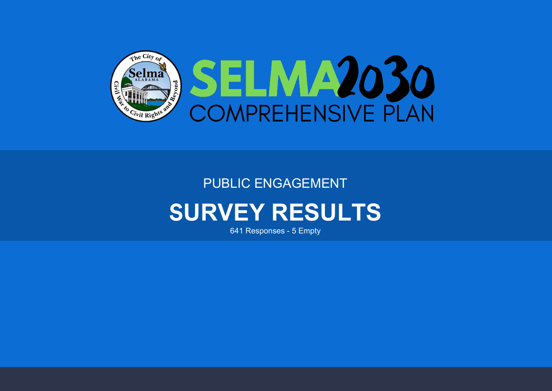

### PUBLIC ENGAGEMENT

## S**URVEY RESULTS**

641 Responses - 5 Empty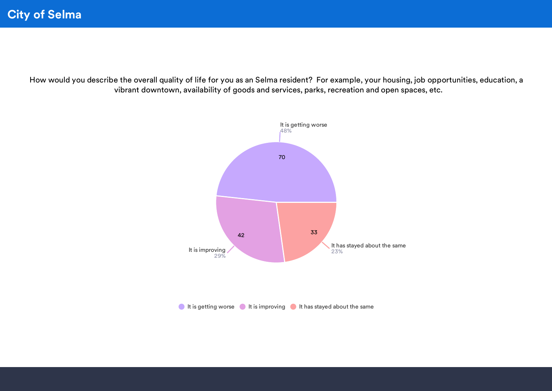How would you describe the overall quality of life for you as an Selma resident? For example, your housing, job opportunities, education, a vibrant downtown, availability of goods and services, parks, recreation and open spaces, etc.

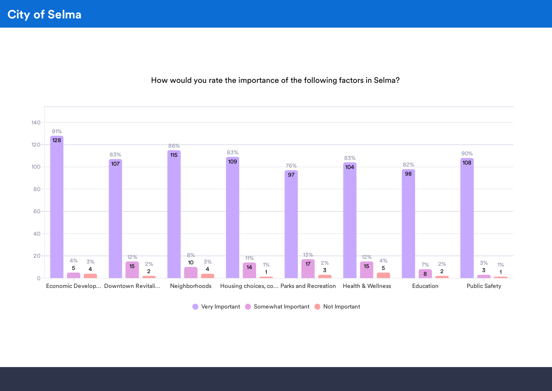Economic Develop… Downtown Revitali… Neighborhoods Housing choices, co… Parks and Recreation Health & Wellness Education Public Safety  $\overline{O}$ 20 40 60 80 100 120 140 128 91% 107 83% 115 86% 109 83% 97 76% 104 83% 98 82% 108 90% 5 4% 15 12% 10 8% 14 11% 17 13% 15 12% 8 7% 3 3% 4 3% 2 2% 4 3% 1 1% 3 2% 5 4% 2 2% 1 1%

How would you rate the importance of the following factors in Selma?

**O** Very Important C Somewhat Important C Not Important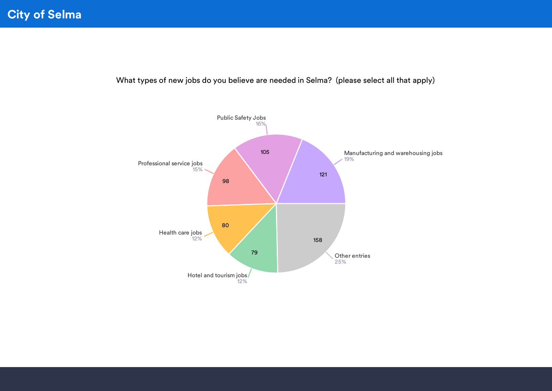What types of new jobs do you believe are needed in Selma? (please select all that apply)

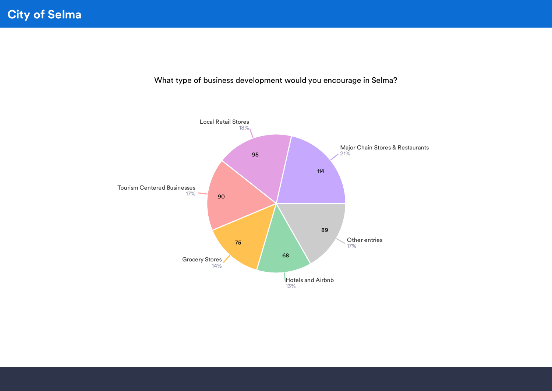What type of business development would you encourage in Selma?

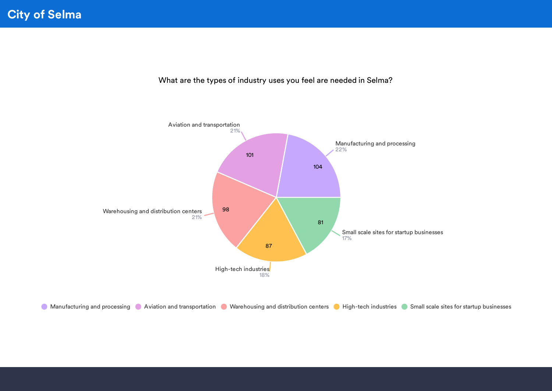

What are the types of industry uses you feel are needed in Selma?

**C** Manufacturing and processing C Aviation and transportation C Warehousing and distribution centers C High-tech industries C Small scale sites for startup businesses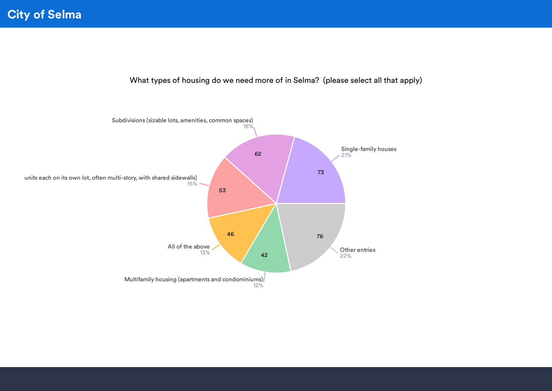What types of housing do we need more of in Selma? (please select all that apply)

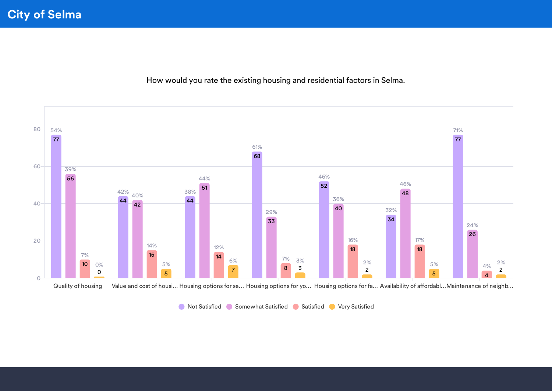How would you rate the existing housing and residential factors in Selma.



**O** Not Satisfied Somewhat Satisfied Satisfied Very Satisfied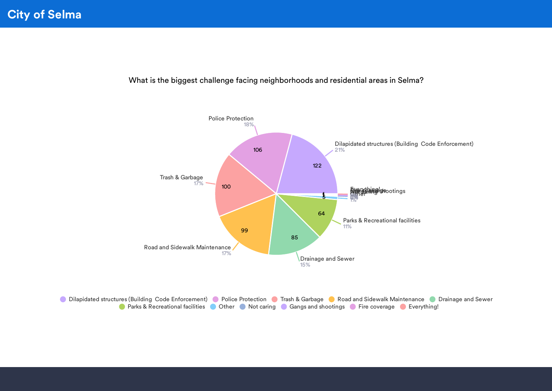What is the biggest challenge facing neighborhoods and residential areas in Selma?



**ODilapidated structures (Building Code Enforcement)** Police Protection Trash & Garbage C Road and Sidewalk Maintenance C Drainage and Sewer **On Parks & Recreational facilities @ Other @ Not caring @ Gangs and shootings @ Fire coverage @ Everything!**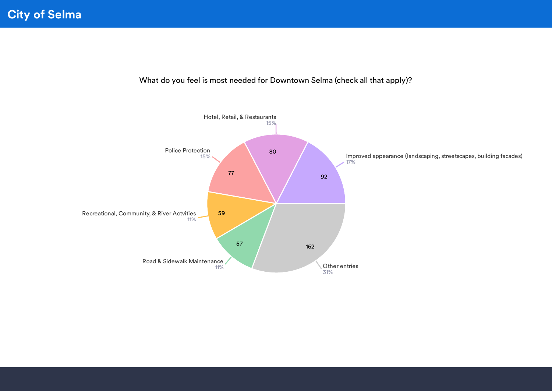

What do you feel is most needed for Downtown Selma (check all that apply)?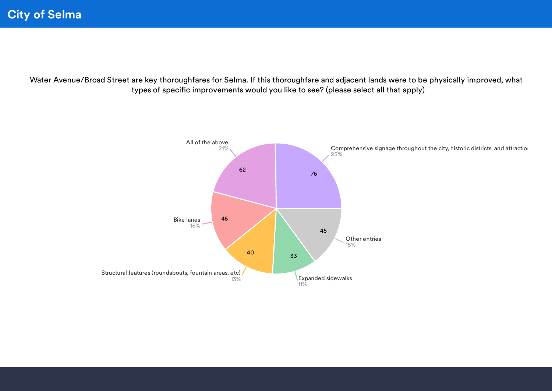Water Avenue/Broad Street are key thoroughfares for Selma. If this thoroughfare and adjacent lands were to be physically improved, what types of specific improvements would you like to see? (please select all that apply)

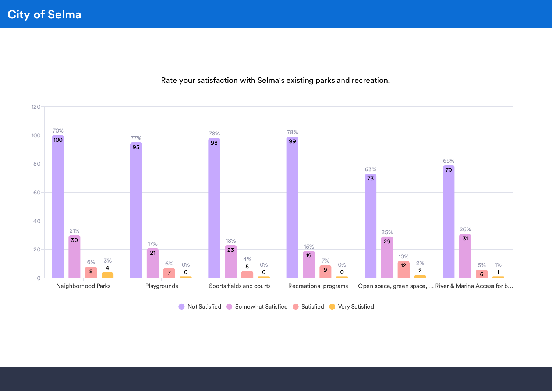Neighborhood Parks Playgrounds Sports fields and courts Recreational programs Open space, green space, ... River & Marina Access for b...  $\overline{O}$ 20 40 60 80 100 120 100 70% 95 77% 98 78% 99 78% 73 63% 79 68% 30 21% 21 17% 23 18% 19 15% 29 25% 31 26% 8 6% 7  $6\%$  0% 5 4% 9 7% 12 10% 6  $\frac{1}{4}$  and  $\frac{6\%}{12}$   $\frac{0\%}{12}$   $\frac{1}{2}$   $\frac{6\%}{12}$   $\frac{1}{2}$   $\frac{5\%}{12}$ 3% 0 0% 0 0% 0 0% 2 2% 1 1%

Rate your satisfaction with Selma's existing parks and recreation.

**O** Not Satisfied Somewhat Satisfied Satisfied Very Satisfied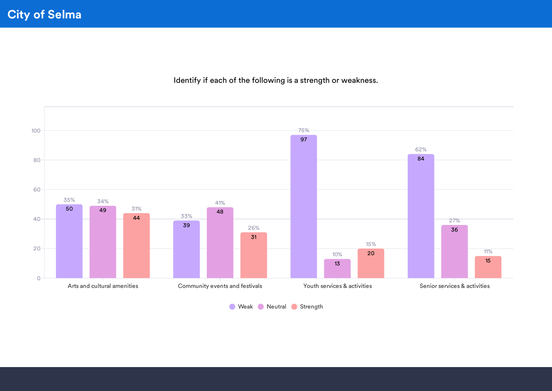Identify if each of the following is a strength or weakness.



**Weak Neutral Strength**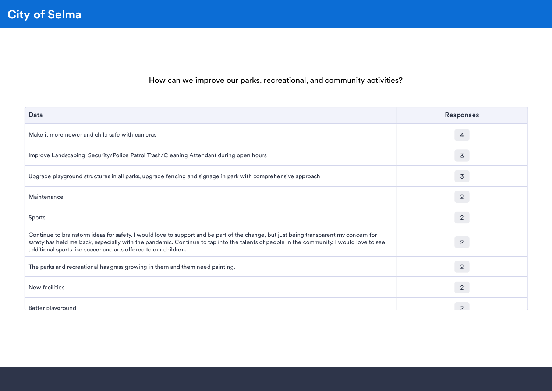#### How can we improve our parks, recreational, and community activities?

| Data                                                                                                                                                                                                                                                                                                                                                | <b>Responses</b> |
|-----------------------------------------------------------------------------------------------------------------------------------------------------------------------------------------------------------------------------------------------------------------------------------------------------------------------------------------------------|------------------|
| Make it more newer and child safe with cameras                                                                                                                                                                                                                                                                                                      | 4                |
| Improve Landscaping Security/Police Patrol Trash/Cleaning Attendant during open hours                                                                                                                                                                                                                                                               | $\overline{3}$   |
| Upgrade playground structures in all parks, upgrade fencing and signage in park with comprehensive approach                                                                                                                                                                                                                                         | $\overline{3}$   |
| Maintenance                                                                                                                                                                                                                                                                                                                                         | $\overline{2}$   |
| Sports.                                                                                                                                                                                                                                                                                                                                             | $\overline{2}$   |
| Continue to brainstorm ideas for safety. I would love to support and be part of the change, but just being transparent my concern for<br>safety has held me back, especially with the pandemic. Continue to tap into the talents of people in the community. I would love to see<br>additional sports like soccer and arts offered to our children. | $\overline{2}$   |
| The parks and recreational has grass growing in them and them need painting.                                                                                                                                                                                                                                                                        | $\overline{2}$   |
| New facilities                                                                                                                                                                                                                                                                                                                                      | $\overline{2}$   |
| Better playground                                                                                                                                                                                                                                                                                                                                   | $\Omega$         |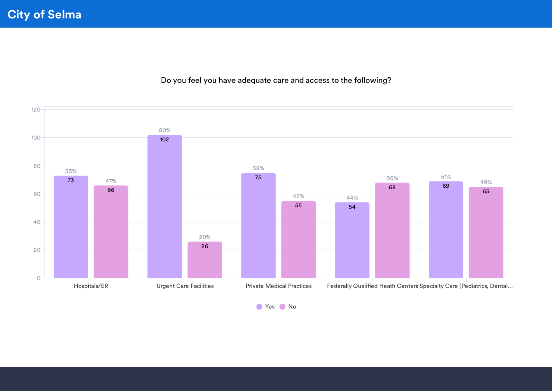Do you feel you have adequate care and access to the following?



● Yes ● No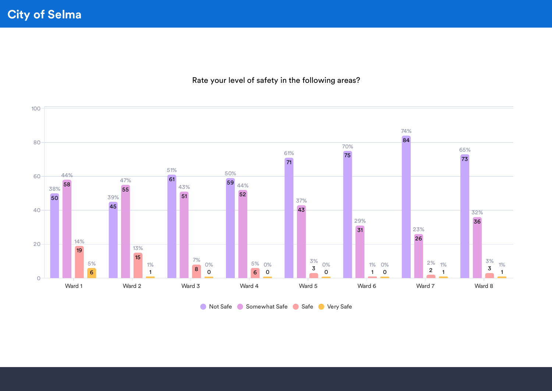#### Rate your level of safety in the following areas?



**Not Safe Somewhat Safe Safe Very Safe**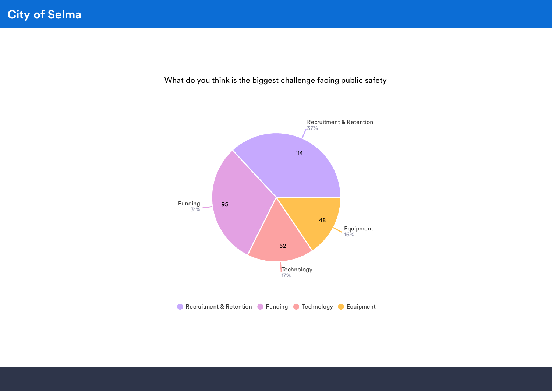What do you think is the biggest challenge facing public safety

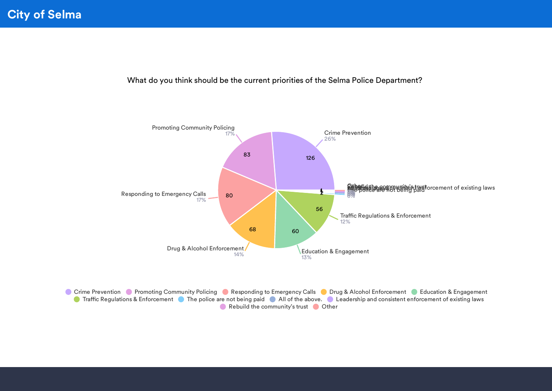What do you think should be the current priorities of the Selma Police Department?



Crime Prevention C Promoting Community Policing C Responding to Emergency Calls C Drug & Alcohol Enforcement C Education & Engagement **OF Traffic Regulations & Enforcement Constraint** The police are not being paid Coall of the above. Consistent paid consistent enforcement of existing laws Rebuild the community's trust Other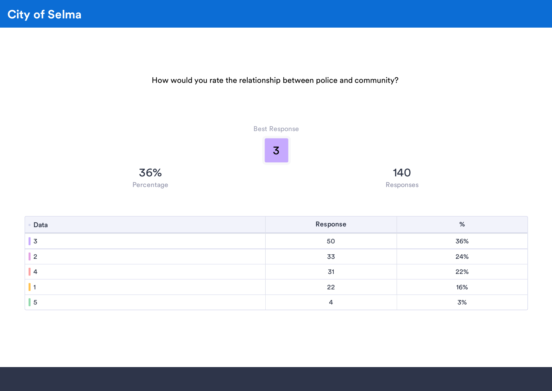



| Data           | Response | %   |
|----------------|----------|-----|
| $\overline{3}$ | 50       | 36% |
| $\overline{2}$ | 33       | 24% |
| 4              | 31       | 22% |
|                | 22       | 16% |
| -5             | 4        | 3%  |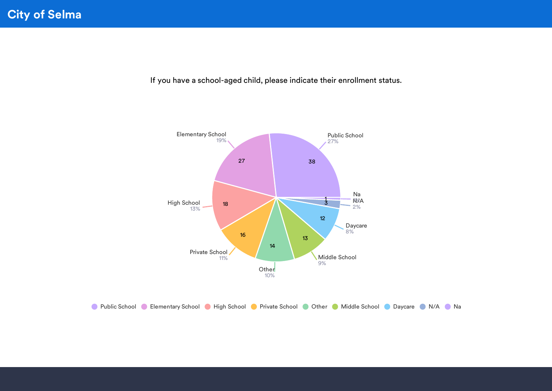If you have a school-aged child, please indicate their enrollment status.



**C** Public School C Elementary School C High School C Private School C Other C Middle School C Daycare C N/A C Na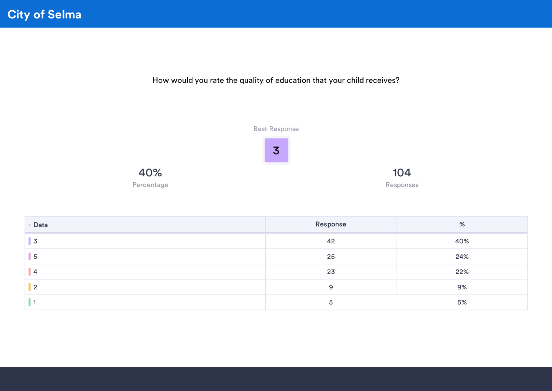How would you rate the quality of education that your child receives?



| Data           | Response | %   |
|----------------|----------|-----|
| 3              | 42       | 40% |
| $\overline{5}$ | 25       | 24% |
| $\overline{4}$ | 23       | 22% |
|                | 9        | 9%  |
|                |          | 5%  |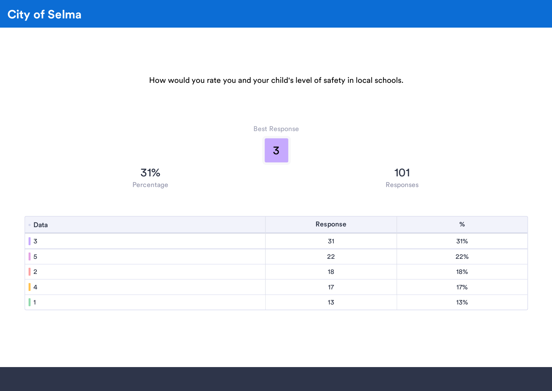



| Data | Response | %   |
|------|----------|-----|
| 3    | 31       | 31% |
| . 5  | 22       | 22% |
| - 2  | 18       | 18% |
|      | 17       | 17% |
|      | 13       | 13% |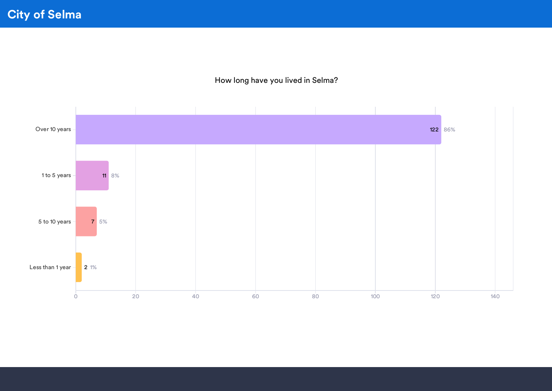#### How long have you lived in Selma?

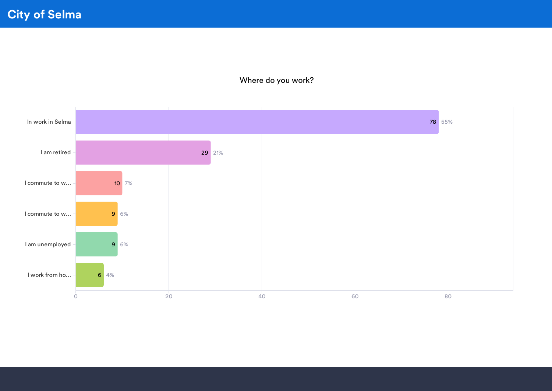City of Selma

#### Where do you work?

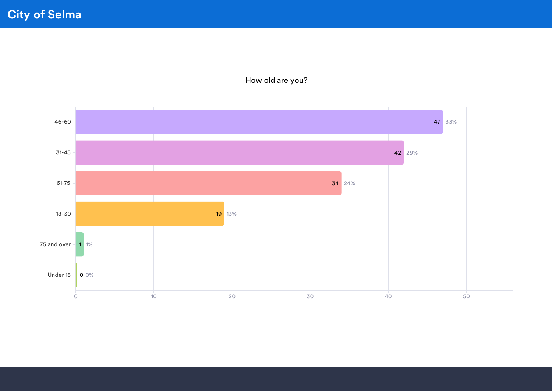

How old are you?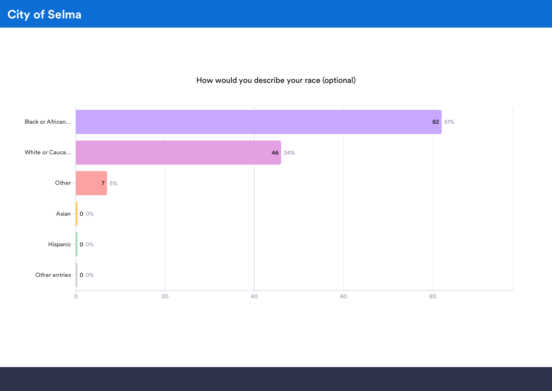#### How would you describe your race (optional)

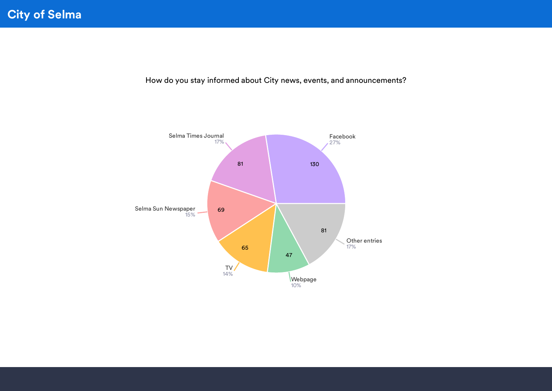How do you stay informed about City news, events, and announcements?

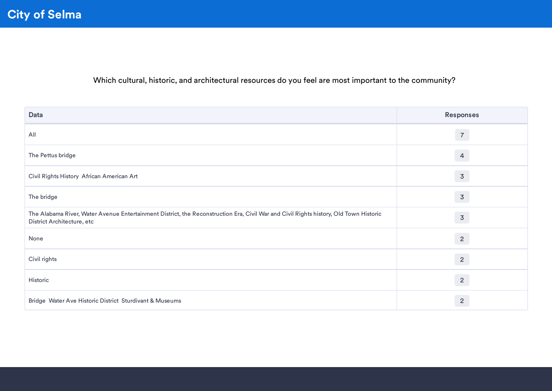Which cultural, historic, and architectural resources do you feel are most important to the community?

| Data                                                                                                                                                                | <b>Responses</b> |
|---------------------------------------------------------------------------------------------------------------------------------------------------------------------|------------------|
| All                                                                                                                                                                 | $\overline{7}$   |
| The Pettus bridge                                                                                                                                                   | $\overline{4}$   |
| Civil Rights History African American Art                                                                                                                           | $\overline{3}$   |
| The bridge                                                                                                                                                          | $\overline{3}$   |
| The Alabama River, Water Avenue Entertainment District, the Reconstruction Era, Civil War and Civil Rights history, Old Town Historic<br>District Architecture, etc | $\overline{3}$   |
| None                                                                                                                                                                | $\overline{2}$   |
| Civil rights                                                                                                                                                        | $\overline{2}$   |
| Historic                                                                                                                                                            | $\overline{2}$   |
| Bridge Water Ave Historic District Sturdivant & Museums                                                                                                             | $\overline{2}$   |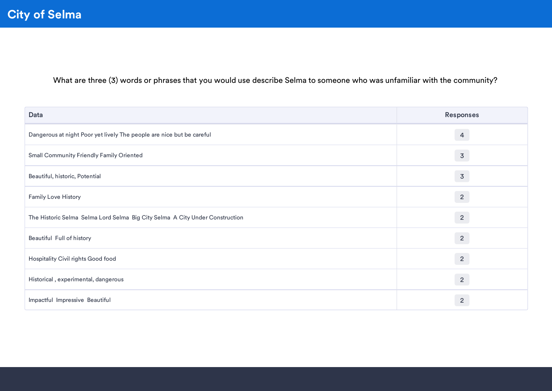What are three (3) words or phrases that you would use describe Selma to someone who was unfamiliar with the community?

| Data                                                                         | <b>Responses</b> |
|------------------------------------------------------------------------------|------------------|
| Dangerous at night Poor yet lively The people are nice but be careful        | $\overline{4}$   |
| <b>Small Community Friendly Family Oriented</b>                              | $\overline{3}$   |
| Beautiful, historic, Potential                                               | $\overline{3}$   |
| Family Love History                                                          | $\overline{2}$   |
| The Historic Selma Selma Lord Selma Big City Selma A City Under Construction | $\overline{2}$   |
| Beautiful Full of history                                                    | $\overline{2}$   |
| Hospitality Civil rights Good food                                           | $\overline{2}$   |
| Historical, experimental, dangerous                                          | $\overline{2}$   |
| Impactful Impressive Beautiful                                               | $\overline{2}$   |